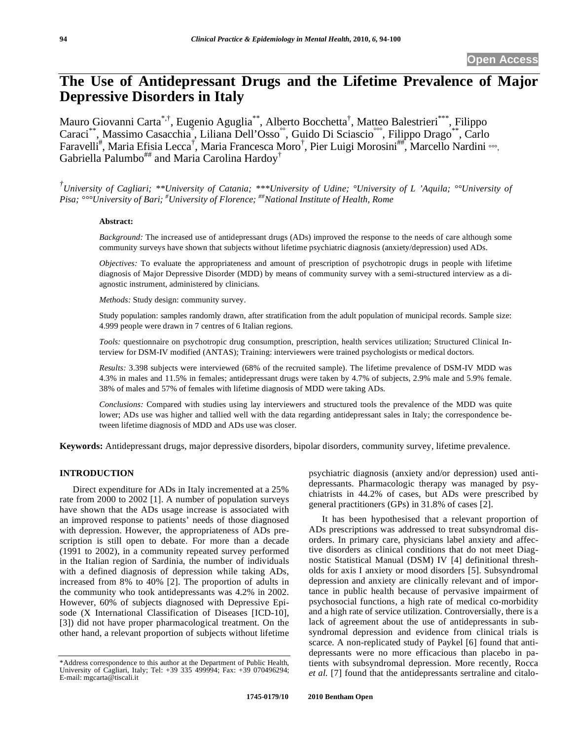# **The Use of Antidepressant Drugs and the Lifetime Prevalence of Major Depressive Disorders in Italy**

Mauro Giovanni Carta<sup>\*,†</sup>, Eugenio Aguglia<sup>\*\*</sup>, Alberto Bocchetta<sup>†</sup>, Matteo Balestrieri<sup>\*\*\*</sup>, Filippo Caraci\*\*, Massimo Casacchia° , Liliana Dell'Osso°°, Guido Di Sciascio°°°, Filippo Drago\*\*, Carlo Faravelli<sup>#</sup>, Maria Efisia Lecca<sup>†</sup>, Maria Francesca Moro<sup>†</sup>, Pier Luigi Morosini<sup>##\*</sup>, Marcello Nardini …, Gabriella Palumbo## and Maria Carolina Hardoy<sup>†</sup>

*† University of Cagliari; \*\*University of Catania; \*\*\*University of Udine; °University of L 'Aquila; °°University of Pisa; °°°University of Bari; # University of Florence; ##National Institute of Health, Rome* 

#### **Abstract:**

*Background:* The increased use of antidepressant drugs (ADs) improved the response to the needs of care although some community surveys have shown that subjects without lifetime psychiatric diagnosis (anxiety/depression) used ADs.

*Objectives:* To evaluate the appropriateness and amount of prescription of psychotropic drugs in people with lifetime diagnosis of Major Depressive Disorder (MDD) by means of community survey with a semi-structured interview as a diagnostic instrument, administered by clinicians.

*Methods:* Study design: community survey.

Study population: samples randomly drawn, after stratification from the adult population of municipal records. Sample size: 4.999 people were drawn in 7 centres of 6 Italian regions.

*Tools:* questionnaire on psychotropic drug consumption, prescription, health services utilization; Structured Clinical Interview for DSM-IV modified (ANTAS); Training: interviewers were trained psychologists or medical doctors.

*Results:* 3.398 subjects were interviewed (68% of the recruited sample). The lifetime prevalence of DSM-IV MDD was 4.3% in males and 11.5% in females; antidepressant drugs were taken by 4.7% of subjects, 2.9% male and 5.9% female. 38% of males and 57% of females with lifetime diagnosis of MDD were taking ADs.

*Conclusions:* Compared with studies using lay interviewers and structured tools the prevalence of the MDD was quite lower; ADs use was higher and tallied well with the data regarding antidepressant sales in Italy; the correspondence between lifetime diagnosis of MDD and ADs use was closer.

**Keywords:** Antidepressant drugs, major depressive disorders, bipolar disorders, community survey, lifetime prevalence.

# **INTRODUCTION**

Direct expenditure for ADs in Italy incremented at a 25% rate from 2000 to 2002 [1]. A number of population surveys have shown that the ADs usage increase is associated with an improved response to patients' needs of those diagnosed with depression. However, the appropriateness of ADs prescription is still open to debate. For more than a decade (1991 to 2002), in a community repeated survey performed in the Italian region of Sardinia, the number of individuals with a defined diagnosis of depression while taking ADs, increased from 8% to 40% [2]. The proportion of adults in the community who took antidepressants was 4.2% in 2002. However, 60% of subjects diagnosed with Depressive Episode (X International Classification of Diseases [ICD-10], [3]) did not have proper pharmacological treatment. On the other hand, a relevant proportion of subjects without lifetime

psychiatric diagnosis (anxiety and/or depression) used antidepressants. Pharmacologic therapy was managed by psychiatrists in 44.2% of cases, but ADs were prescribed by general practitioners (GPs) in 31.8% of cases [2].

It has been hypothesised that a relevant proportion of ADs prescriptions was addressed to treat subsyndromal disorders. In primary care, physicians label anxiety and affective disorders as clinical conditions that do not meet Diagnostic Statistical Manual (DSM) IV [4] definitional thresholds for axis I anxiety or mood disorders [5]. Subsyndromal depression and anxiety are clinically relevant and of importance in public health because of pervasive impairment of psychosocial functions, a high rate of medical co-morbidity and a high rate of service utilization. Controversially, there is a lack of agreement about the use of antidepressants in subsyndromal depression and evidence from clinical trials is scarce. A non-replicated study of Paykel [6] found that antidepressants were no more efficacious than placebo in patients with subsyndromal depression. More recently, Rocca *et al.* [7] found that the antidepressants sertraline and citalo-

<sup>\*</sup>Address correspondence to this author at the Department of Public Health, University of Cagliari, Italy; Tel: +39 335 499994; Fax: +39 070496294; E-mail: mgcarta@tiscali.it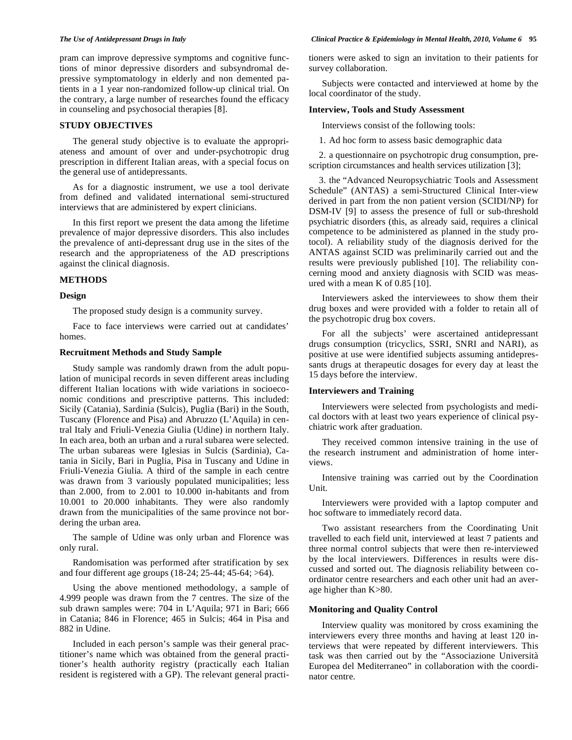pram can improve depressive symptoms and cognitive functions of minor depressive disorders and subsyndromal depressive symptomatology in elderly and non demented patients in a 1 year non-randomized follow-up clinical trial. On the contrary, a large number of researches found the efficacy in counseling and psychosocial therapies [8].

#### **STUDY OBJECTIVES**

The general study objective is to evaluate the appropriateness and amount of over and under-psychotropic drug prescription in different Italian areas, with a special focus on the general use of antidepressants.

As for a diagnostic instrument, we use a tool derivate from defined and validated international semi-structured interviews that are administered by expert clinicians.

In this first report we present the data among the lifetime prevalence of major depressive disorders. This also includes the prevalence of anti-depressant drug use in the sites of the research and the appropriateness of the AD prescriptions against the clinical diagnosis.

#### **METHODS**

#### **Design**

The proposed study design is a community survey.

Face to face interviews were carried out at candidates' homes.

### **Recruitment Methods and Study Sample**

Study sample was randomly drawn from the adult population of municipal records in seven different areas including different Italian locations with wide variations in socioeconomic conditions and prescriptive patterns. This included: Sicily (Catania), Sardinia (Sulcis), Puglia (Bari) in the South, Tuscany (Florence and Pisa) and Abruzzo (L'Aquila) in central Italy and Friuli-Venezia Giulia (Udine) in northern Italy. In each area, both an urban and a rural subarea were selected. The urban subareas were Iglesias in Sulcis (Sardinia), Catania in Sicily, Bari in Puglia, Pisa in Tuscany and Udine in Friuli-Venezia Giulia. A third of the sample in each centre was drawn from 3 variously populated municipalities; less than 2.000, from to 2.001 to 10.000 in-habitants and from 10.001 to 20.000 inhabitants. They were also randomly drawn from the municipalities of the same province not bordering the urban area.

The sample of Udine was only urban and Florence was only rural.

Randomisation was performed after stratification by sex and four different age groups (18-24; 25-44; 45-64; >64).

Using the above mentioned methodology, a sample of 4.999 people was drawn from the 7 centres. The size of the sub drawn samples were: 704 in L'Aquila; 971 in Bari; 666 in Catania; 846 in Florence; 465 in Sulcis; 464 in Pisa and 882 in Udine.

Included in each person's sample was their general practitioner's name which was obtained from the general practitioner's health authority registry (practically each Italian resident is registered with a GP). The relevant general practitioners were asked to sign an invitation to their patients for survey collaboration.

Subjects were contacted and interviewed at home by the local coordinator of the study.

#### **Interview, Tools and Study Assessment**

Interviews consist of the following tools:

1. Ad hoc form to assess basic demographic data

2. a questionnaire on psychotropic drug consumption, prescription circumstances and health services utilization [3];

3. the "Advanced Neuropsychiatric Tools and Assessment Schedule" (ANTAS) a semi-Structured Clinical Inter-view derived in part from the non patient version (SCIDI/NP) for DSM-IV [9] to assess the presence of full or sub-threshold psychiatric disorders (this, as already said, requires a clinical competence to be administered as planned in the study protocol). A reliability study of the diagnosis derived for the ANTAS against SCID was preliminarily carried out and the results were previously published [10]. The reliability concerning mood and anxiety diagnosis with SCID was measured with a mean K of 0.85 [10].

Interviewers asked the interviewees to show them their drug boxes and were provided with a folder to retain all of the psychotropic drug box covers.

For all the subjects' were ascertained antidepressant drugs consumption (tricyclics, SSRI, SNRI and NARI), as positive at use were identified subjects assuming antidepressants drugs at therapeutic dosages for every day at least the 15 days before the interview.

## **Interviewers and Training**

Interviewers were selected from psychologists and medical doctors with at least two years experience of clinical psychiatric work after graduation.

They received common intensive training in the use of the research instrument and administration of home interviews.

Intensive training was carried out by the Coordination Unit.

Interviewers were provided with a laptop computer and hoc software to immediately record data.

Two assistant researchers from the Coordinating Unit travelled to each field unit, interviewed at least 7 patients and three normal control subjects that were then re-interviewed by the local interviewers. Differences in results were discussed and sorted out. The diagnosis reliability between coordinator centre researchers and each other unit had an average higher than K>80.

## **Monitoring and Quality Control**

Interview quality was monitored by cross examining the interviewers every three months and having at least 120 interviews that were repeated by different interviewers. This task was then carried out by the "Associazione Università Europea del Mediterraneo" in collaboration with the coordinator centre.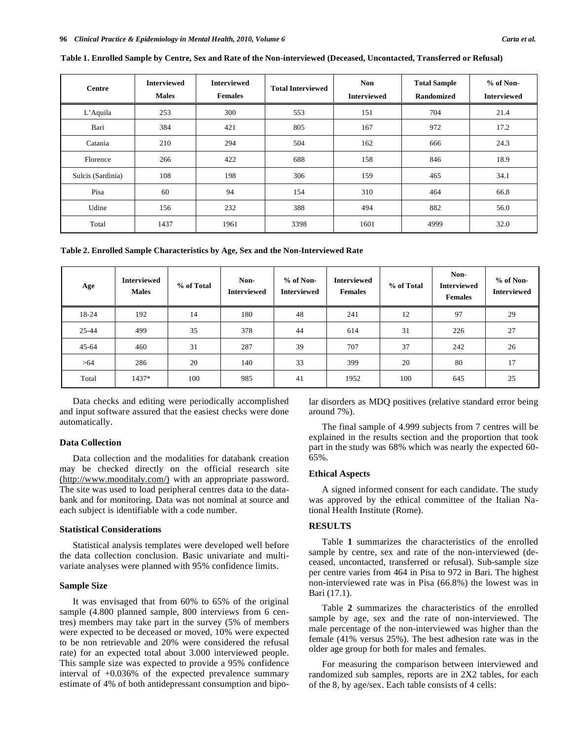| <b>Centre</b>     | <b>Interviewed</b><br><b>Males</b> | <b>Interviewed</b><br><b>Females</b> | <b>Total Interviewed</b> | <b>Non</b><br><b>Interviewed</b> | <b>Total Sample</b><br>Randomized | $%$ of Non-<br><b>Interviewed</b> |
|-------------------|------------------------------------|--------------------------------------|--------------------------|----------------------------------|-----------------------------------|-----------------------------------|
| L'Aquila          | 253                                | 300                                  | 553                      | 151                              | 704                               | 21.4                              |
| Bari              | 384                                | 421                                  | 805                      | 167                              | 972                               | 17.2                              |
| Catania           | 210                                | 294                                  | 504                      | 162                              | 666                               | 24.3                              |
| Florence          | 266                                | 422                                  | 688                      | 158                              | 846                               | 18.9                              |
| Sulcis (Sardinia) | 108                                | 198                                  | 306                      | 159                              | 465                               | 34.1                              |
| Pisa              | 60                                 | 94                                   | 154                      | 310                              | 464                               | 66.8                              |
| Udine             | 156                                | 232                                  | 388                      | 494                              | 882                               | 56.0                              |
| Total             | 1437                               | 1961                                 | 3398                     | 1601                             | 4999                              | 32.0                              |

**Table 1. Enrolled Sample by Centre, Sex and Rate of the Non-interviewed (Deceased, Uncontacted, Transferred or Refusal)** 

**Table 2. Enrolled Sample Characteristics by Age, Sex and the Non-Interviewed Rate** 

| Age       | <b>Interviewed</b><br><b>Males</b> | % of Total | Non-<br><b>Interviewed</b> | $%$ of Non-<br><b>Interviewed</b> | <b>Interviewed</b><br><b>Females</b> | % of Total | Non-<br><b>Interviewed</b><br><b>Females</b> | $%$ of Non-<br><b>Interviewed</b> |
|-----------|------------------------------------|------------|----------------------------|-----------------------------------|--------------------------------------|------------|----------------------------------------------|-----------------------------------|
| 18-24     | 192                                | 14         | 180                        | 48                                | 241                                  | 12         | 97                                           | 29                                |
| 25-44     | 499                                | 35         | 378                        | 44                                | 614                                  | 31         | 226                                          | 27                                |
| $45 - 64$ | 460                                | 31         | 287                        | 39                                | 707                                  | 37         | 242                                          | 26                                |
| >64       | 286                                | 20         | 140                        | 33                                | 399                                  | 20         | 80                                           | 17                                |
| Total     | 1437*                              | 100        | 985                        | 41                                | 1952                                 | 100        | 645                                          | 25                                |

Data checks and editing were periodically accomplished and input software assured that the easiest checks were done automatically.

# **Data Collection**

Data collection and the modalities for databank creation may be checked directly on the official research site (http://www.mooditaly.com/) with an appropriate password. The site was used to load peripheral centres data to the databank and for monitoring. Data was not nominal at source and each subject is identifiable with a code number.

#### **Statistical Considerations**

Statistical analysis templates were developed well before the data collection conclusion. Basic univariate and multivariate analyses were planned with 95% confidence limits.

### **Sample Size**

It was envisaged that from 60% to 65% of the original sample (4.800 planned sample, 800 interviews from 6 centres) members may take part in the survey (5% of members were expected to be deceased or moved, 10% were expected to be non retrievable and 20% were considered the refusal rate) for an expected total about 3.000 interviewed people. This sample size was expected to provide a 95% confidence interval of +0.036% of the expected prevalence summary estimate of 4% of both antidepressant consumption and bipolar disorders as MDQ positives (relative standard error being around 7%).

The final sample of 4.999 subjects from 7 centres will be explained in the results section and the proportion that took part in the study was 68% which was nearly the expected 60- 65%.

#### **Ethical Aspects**

A signed informed consent for each candidate. The study was approved by the ethical committee of the Italian National Health Institute (Rome).

# **RESULTS**

Table **1** summarizes the characteristics of the enrolled sample by centre, sex and rate of the non-interviewed (deceased, uncontacted, transferred or refusal). Sub-sample size per centre varies from 464 in Pisa to 972 in Bari. The highest non-interviewed rate was in Pisa (66.8%) the lowest was in Bari (17.1).

Table **2** summarizes the characteristics of the enrolled sample by age, sex and the rate of non-interviewed. The male percentage of the non-interviewed was higher than the female (41% versus 25%). The best adhesion rate was in the older age group for both for males and females.

For measuring the comparison between interviewed and randomized sub samples, reports are in 2X2 tables, for each of the 8, by age/sex. Each table consists of 4 cells: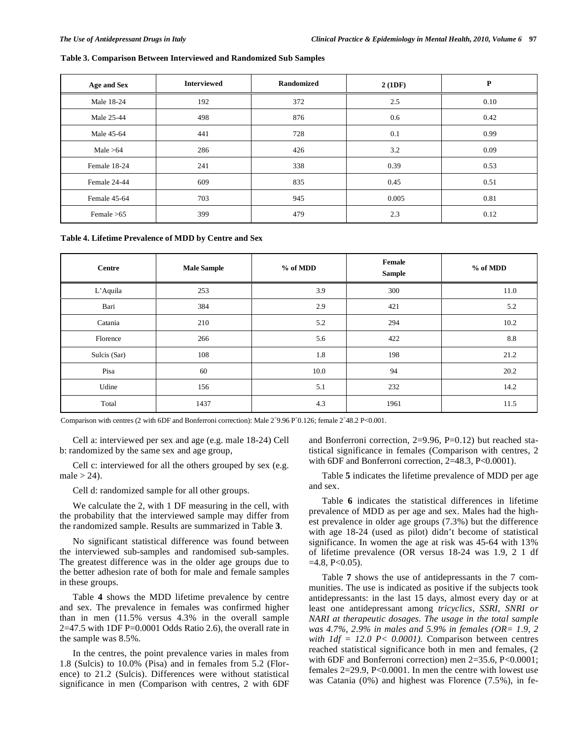# **Table 3. Comparison Between Interviewed and Randomized Sub Samples**

| Age and Sex  | <b>Interviewed</b> | Randomized | 2(1DF) | P    |
|--------------|--------------------|------------|--------|------|
| Male 18-24   | 192                | 372        | 2.5    | 0.10 |
| Male 25-44   | 498                | 876        | 0.6    | 0.42 |
| Male 45-64   | 441                | 728        | 0.1    | 0.99 |
| Male $>64$   | 286                | 426        | 3.2    | 0.09 |
| Female 18-24 | 241                | 338        | 0.39   | 0.53 |
| Female 24-44 | 835<br>609         |            | 0.45   | 0.51 |
| Female 45-64 | 703                | 945        | 0.005  | 0.81 |
| Female $>65$ | 399                | 479        | 2.3    | 0.12 |

**Table 4. Lifetime Prevalence of MDD by Centre and Sex** 

| <b>Centre</b> | <b>Male Sample</b> | % of MDD | Female<br>Sample | % of MDD        |
|---------------|--------------------|----------|------------------|-----------------|
| L'Aquila      | 253                | 3.9      | 300              | 11.0            |
| Bari          | 384                | 2.9      | 421              | 5.2             |
| Catania       | 210                | 5.2      | 294              | 10.2            |
| Florence      | 266                | 5.6      | 422              | $\!\!\!\!\!8.8$ |
| Sulcis (Sar)  | 108                | 1.8      | 198              | 21.2            |
| Pisa          | 60                 | 10.0     | 94               | 20.2            |
| Udine         | 156                | 5.1      | 232              | 14.2            |
| Total         | 1437               | 4.3      | 1961             | 11.5            |

Comparison with centres (2 with 6DF and Bonferroni correction): Male  $2^{\degree}9.96$  P $^{\degree}0.126$ ; female  $2^{\degree}48.2$  P<0.001.

Cell a: interviewed per sex and age (e.g. male 18-24) Cell b: randomized by the same sex and age group,

Cell c: interviewed for all the others grouped by sex (e.g. male  $>$  24).

Cell d: randomized sample for all other groups.

We calculate the 2, with 1 DF measuring in the cell, with the probability that the interviewed sample may differ from the randomized sample. Results are summarized in Table **3**.

No significant statistical difference was found between the interviewed sub-samples and randomised sub-samples. The greatest difference was in the older age groups due to the better adhesion rate of both for male and female samples in these groups.

Table **4** shows the MDD lifetime prevalence by centre and sex. The prevalence in females was confirmed higher than in men (11.5% versus 4.3% in the overall sample  $2=47.5$  with 1DF P=0.0001 Odds Ratio 2.6), the overall rate in the sample was 8.5%.

In the centres, the point prevalence varies in males from 1.8 (Sulcis) to 10.0% (Pisa) and in females from 5.2 (Florence) to 21.2 (Sulcis). Differences were without statistical significance in men (Comparison with centres, 2 with 6DF and Bonferroni correction, 2=9.96, P=0.12) but reached statistical significance in females (Comparison with centres, 2 with 6DF and Bonferroni correction, 2=48.3, P<0.0001).

Table **5** indicates the lifetime prevalence of MDD per age and sex.

Table **6** indicates the statistical differences in lifetime prevalence of MDD as per age and sex. Males had the highest prevalence in older age groups (7.3%) but the difference with age 18-24 (used as pilot) didn't become of statistical significance. In women the age at risk was 45-64 with 13% of lifetime prevalence (OR versus 18-24 was 1.9, 2 1 df  $=4.8$ , P $< 0.05$ ).

Table **7** shows the use of antidepressants in the 7 communities. The use is indicated as positive if the subjects took antidepressants: in the last 15 days, almost every day or at least one antidepressant among *tricyclics, SSRI, SNRI or NARI at therapeutic dosages. The usage in the total sample was 4.7%, 2.9% in males and 5.9% in females (OR= 1.9, 2 with 1df = 12.0 P< 0.0001).* Comparison between centres reached statistical significance both in men and females, (2 with 6DF and Bonferroni correction) men 2=35.6, P<0.0001; females 2=29.9, P<0.0001. In men the centre with lowest use was Catania (0%) and highest was Florence (7.5%), in fe-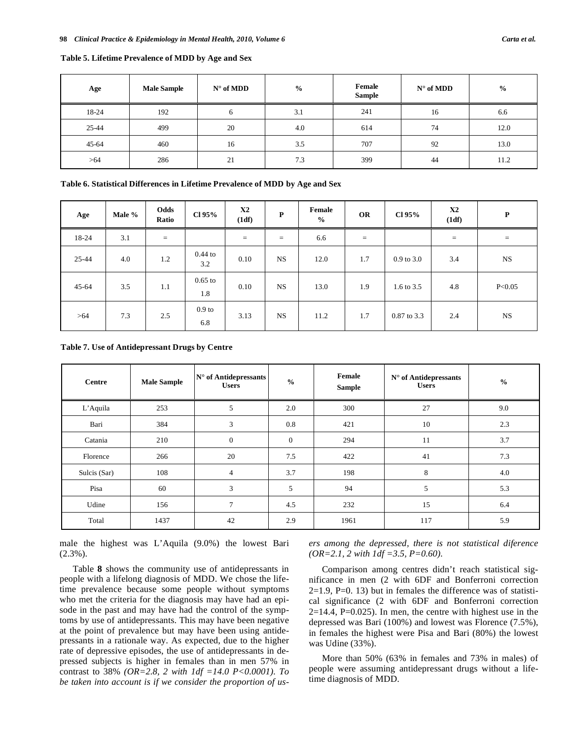| Age       | <b>Male Sample</b> | $N^{\circ}$ of MDD | $\frac{1}{2}$ | Female<br><b>Sample</b> | $N^{\circ}$ of MDD | $\frac{0}{0}$ |
|-----------|--------------------|--------------------|---------------|-------------------------|--------------------|---------------|
| 18-24     | 192                | O                  | 3.1           | 241                     | 16                 | 6.6           |
| 25-44     | 499                | 20                 | 4.0           | 614                     | 74                 | 12.0          |
| $45 - 64$ | 460                | 16                 | 3.5           | 707                     | 92                 | 13.0          |
| >64       | 286                | 21                 | 7.3           | 399                     | 44                 | 11.2          |

# **Table 5. Lifetime Prevalence of MDD by Age and Sex**

#### **Table 6. Statistical Differences in Lifetime Prevalence of MDD by Age and Sex**

| Age       | Male % | Odds<br>Ratio | Cl 95%                   | X2<br>(1df) | P         | Female<br>$\frac{0}{0}$ | <b>OR</b> | Cl 95%         | X2<br>(1df) | P         |
|-----------|--------|---------------|--------------------------|-------------|-----------|-------------------------|-----------|----------------|-------------|-----------|
| 18-24     | 3.1    | $=$           |                          | $=$         | $=$       | 6.6                     | $\equiv$  |                | $=$         | $=$       |
| 25-44     | 4.0    | 1.2           | $0.44$ to<br>3.2         | 0.10        | <b>NS</b> | 12.0                    | 1.7       | $0.9$ to $3.0$ | 3.4         | <b>NS</b> |
| $45 - 64$ | 3.5    | 1.1           | $0.65$ to<br>1.8         | 0.10        | <b>NS</b> | 13.0                    | 1.9       | 1.6 to 3.5     | 4.8         | P<0.05    |
| >64       | 7.3    | 2.5           | 0.9 <sub>to</sub><br>6.8 | 3.13        | <b>NS</b> | 11.2                    | 1.7       | 0.87 to 3.3    | 2.4         | <b>NS</b> |

#### **Table 7. Use of Antidepressant Drugs by Centre**

| Centre       | <b>Male Sample</b> | $N^{\circ}$ of Antidepressants<br><b>Users</b> | $\frac{0}{0}$ | Female<br><b>Sample</b> | $N^{\circ}$ of Antidepressants<br><b>Users</b> | $\frac{0}{0}$ |
|--------------|--------------------|------------------------------------------------|---------------|-------------------------|------------------------------------------------|---------------|
| L'Aquila     | 253                | 5                                              | 2.0           | 300                     | 27                                             | 9.0           |
| Bari         | 384                | 3                                              | 0.8           | 421                     | 10                                             | 2.3           |
| Catania      | 210                | $\mathbf{0}$                                   | $\mathbf{0}$  | 294                     | 11                                             | 3.7           |
| Florence     | 266                | 20                                             | 7.5           | 422                     | 41                                             | 7.3           |
| Sulcis (Sar) | 108                | 4                                              | 3.7           | 198                     | 8                                              | 4.0           |
| Pisa         | 60                 | 3                                              | 5             | 94                      | 5                                              | 5.3           |
| Udine        | 156                | $\overline{7}$                                 | 4.5           | 232                     | 15                                             | 6.4           |
| Total        | 1437               | 42                                             | 2.9           | 1961                    | 117                                            | 5.9           |

male the highest was L'Aquila (9.0%) the lowest Bari (2.3%).

Table **8** shows the community use of antidepressants in people with a lifelong diagnosis of MDD. We chose the lifetime prevalence because some people without symptoms who met the criteria for the diagnosis may have had an episode in the past and may have had the control of the symptoms by use of antidepressants. This may have been negative at the point of prevalence but may have been using antidepressants in a rationale way. As expected, due to the higher rate of depressive episodes, the use of antidepressants in depressed subjects is higher in females than in men 57% in contrast to 38% *(OR=2.8, 2 with 1df =14.0 P<0.0001). To be taken into account is if we consider the proportion of us-* *ers among the depressed, there is not statistical diference (OR=2.1, 2 with 1df =3.5, P=0.60).* 

Comparison among centres didn't reach statistical significance in men (2 with 6DF and Bonferroni correction  $2=1.9$ , P $=0.13$ ) but in females the difference was of statistical significance (2 with 6DF and Bonferroni correction  $2=14.4$ , P=0.025). In men, the centre with highest use in the depressed was Bari (100%) and lowest was Florence (7.5%), in females the highest were Pisa and Bari (80%) the lowest was Udine (33%).

More than 50% (63% in females and 73% in males) of people were assuming antidepressant drugs without a lifetime diagnosis of MDD.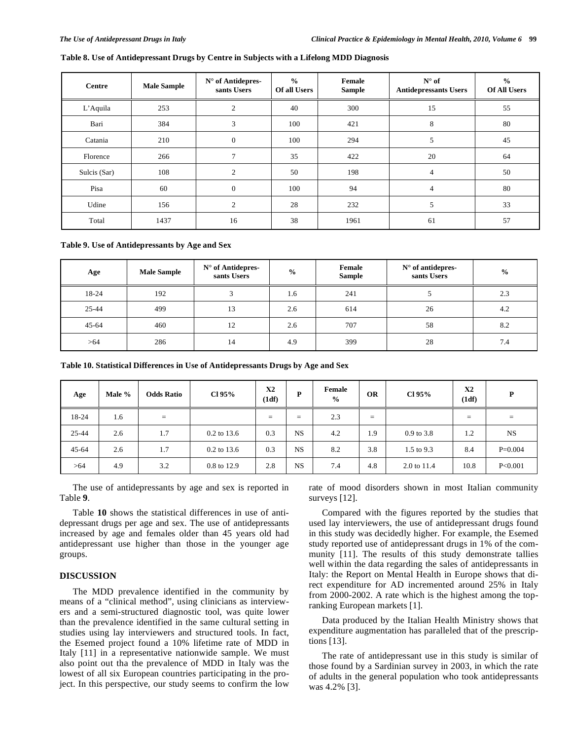# **Table 8. Use of Antidepressant Drugs by Centre in Subjects with a Lifelong MDD Diagnosis**

| Centre       | <b>Male Sample</b> | $N^{\circ}$ of Antidepres-<br>sants Users | $\frac{0}{0}$<br>Of all Users | Female<br><b>Sample</b> | $N^{\circ}$ of<br><b>Antidepressants Users</b> | $\frac{0}{0}$<br><b>Of All Users</b> |
|--------------|--------------------|-------------------------------------------|-------------------------------|-------------------------|------------------------------------------------|--------------------------------------|
| L'Aquila     | 253                | $\overline{2}$                            | 40                            | 300                     | 15                                             | 55                                   |
| Bari         | 384                | 3                                         | 100                           | 421                     | 8                                              | 80                                   |
| Catania      | 210                | $\overline{0}$                            | 100                           | 294                     | 5                                              | 45                                   |
| Florence     | 266                | $\tau$                                    | 35                            | 422                     | 20                                             | 64                                   |
| Sulcis (Sar) | 108                | $\overline{c}$                            | 50                            | 198                     | $\overline{4}$                                 | 50                                   |
| Pisa         | 60                 | $\Omega$                                  | 100                           | 94                      | 4                                              | 80                                   |
| Udine        | 156                | $\overline{2}$                            | 28                            | 232                     | 5                                              | 33                                   |
| Total        | 1437               | 16                                        | 38                            | 1961                    | 61                                             | 57                                   |

**Table 9. Use of Antidepressants by Age and Sex** 

| Age       | <b>Male Sample</b> | N° of Antidepres-<br>sants Users | Female<br>$N^{\circ}$ of antidepres-<br>$\frac{0}{0}$<br><b>Sample</b><br>sants Users |     | $\frac{0}{0}$ |     |
|-----------|--------------------|----------------------------------|---------------------------------------------------------------------------------------|-----|---------------|-----|
| 18-24     | 192                | $\mathbf{r}$                     | 1.6                                                                                   | 241 |               | 2.3 |
| 25-44     | 499                | 13                               | 2.6                                                                                   | 614 | 26            | 4.2 |
| $45 - 64$ | 460                | 12                               | 2.6                                                                                   | 707 | 58            | 8.2 |
| >64       | 286                | 14                               | 4.9                                                                                   | 399 | 28            | 7.4 |

**Table 10. Statistical Differences in Use of Antidepressants Drugs by Age and Sex**

| Age       | Male % | <b>Odds Ratio</b> | $Cl$ 95%      | X2<br>(1df) | D         | Female<br>$\frac{0}{0}$ | <b>OR</b> | $Cl$ 95%     | <b>X2</b><br>(1df) | P         |
|-----------|--------|-------------------|---------------|-------------|-----------|-------------------------|-----------|--------------|--------------------|-----------|
| 18-24     | 1.6    | $=$               |               | $=$         | $=$       | 2.3                     | $=$       |              | $=$                | $=$       |
| 25-44     | 2.6    | 1.7               | 0.2 to 13.6   | 0.3         | <b>NS</b> | 4.2                     | 1.9       | $0.9$ to 3.8 | 1.2                | <b>NS</b> |
| $45 - 64$ | 2.6    | 1.7               | $0.2$ to 13.6 | 0.3         | <b>NS</b> | 8.2                     | 3.8       | 1.5 to 9.3   | 8.4                | $P=0.004$ |
| >64       | 4.9    | 3.2               | 0.8 to 12.9   | 2.8         | <b>NS</b> | 7.4                     | 4.8       | 2.0 to 11.4  | 10.8               | P<0.001   |

The use of antidepressants by age and sex is reported in Table **9**.

Table **10** shows the statistical differences in use of antidepressant drugs per age and sex. The use of antidepressants increased by age and females older than 45 years old had antidepressant use higher than those in the younger age groups.

# **DISCUSSION**

The MDD prevalence identified in the community by means of a "clinical method", using clinicians as interviewers and a semi-structured diagnostic tool, was quite lower than the prevalence identified in the same cultural setting in studies using lay interviewers and structured tools. In fact, the Esemed project found a 10% lifetime rate of MDD in Italy [11] in a representative nationwide sample. We must also point out tha the prevalence of MDD in Italy was the lowest of all six European countries participating in the project. In this perspective, our study seems to confirm the low rate of mood disorders shown in most Italian community surveys [12].

Compared with the figures reported by the studies that used lay interviewers, the use of antidepressant drugs found in this study was decidedly higher. For example, the Esemed study reported use of antidepressant drugs in 1% of the community [11]. The results of this study demonstrate tallies well within the data regarding the sales of antidepressants in Italy: the Report on Mental Health in Europe shows that direct expenditure for AD incremented around 25% in Italy from 2000-2002. A rate which is the highest among the topranking European markets [1].

Data produced by the Italian Health Ministry shows that expenditure augmentation has paralleled that of the prescriptions [13].

The rate of antidepressant use in this study is similar of those found by a Sardinian survey in 2003, in which the rate of adults in the general population who took antidepressants was 4.2% [3].